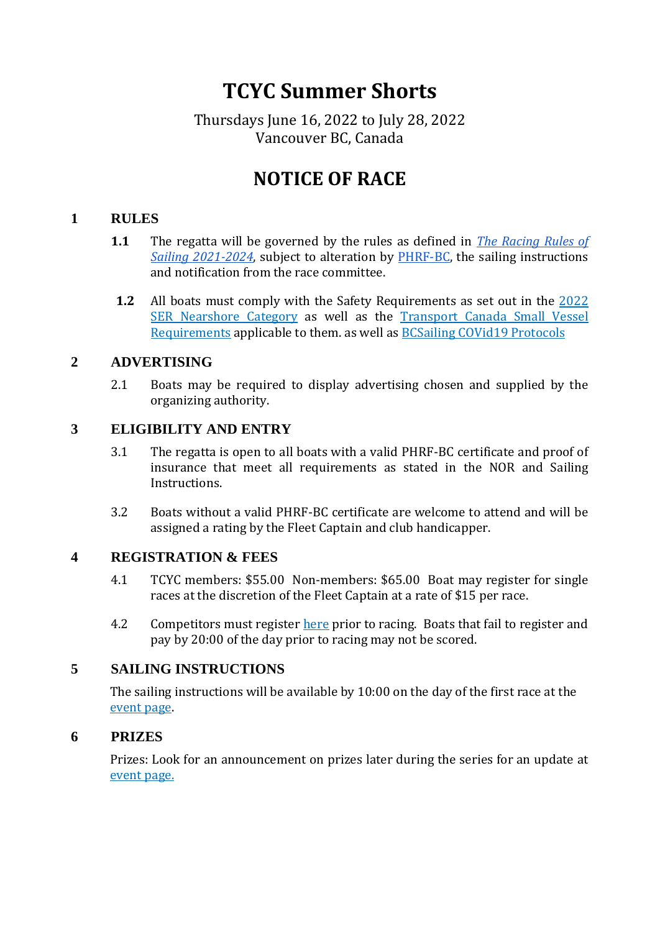# **TCYC Summer Shorts**

## Thursdays June 16, 2022 to July 28, 2022 Vancouver BC, Canada

# **NOTICE OF RACE**

#### **1 RULES**

- **1.1** The regatta will be governed by the rules as defined in *[The Racing Rules of](https://www.sailing.org/tools/documents/RRS20212024Finalwithbookmarks-%5B27255%5D.pdf)  [Sailing 2021-2024](https://www.sailing.org/tools/documents/RRS20212024Finalwithbookmarks-%5B27255%5D.pdf)*, subject to alteration by [PHRF-BC,](https://bcsailing.bc.ca/phrforc/) the sailing instructions and notification from the race committee.
- **1.2** All boats must comply with the Safety Requirements as set out in the [2022](https://cdn.ussailing.org/wp-content/uploads/2022/01/Monohull-SER-2022.0-Nearshore.pdf)  [SER Nearshore Category](https://cdn.ussailing.org/wp-content/uploads/2022/01/Monohull-SER-2022.0-Nearshore.pdf) as well as the [Transport Canada Small Vessel](https://www.tiddlycove.bc.ca/resources/Documents/2022/RDIMS-_14275967-v4-TABLE_MINIMUM_SAFETY_EQUIPMENT_REQUIREMENTS_WITH_SVR_AMENDMENT_GAZETTED_MAY_16__2018-1.pdf)  [Requirements](https://www.tiddlycove.bc.ca/resources/Documents/2022/RDIMS-_14275967-v4-TABLE_MINIMUM_SAFETY_EQUIPMENT_REQUIREMENTS_WITH_SVR_AMENDMENT_GAZETTED_MAY_16__2018-1.pdf) applicable to them. as well a[s BCSailing COVid19 Protocols](https://mcusercontent.com/f30bc38fda659479d2dc1afae/files/27743d01-60b6-90f7-1854-34887c7633d2/BC_Sailing_Covid_19_May_31_Update.pdf)

#### **2 ADVERTISING**

2.1 Boats may be required to display advertising chosen and supplied by the organizing authority.

#### **3 ELIGIBILITY AND ENTRY**

- 3.1 The regatta is open to all boats with a valid PHRF-BC certificate and proof of insurance that meet all requirements as stated in the NOR and Sailing Instructions.
- 3.2 Boats without a valid PHRF-BC certificate are welcome to attend and will be assigned a rating by the Fleet Captain and club handicapper.

#### **4 REGISTRATION & FEES**

- 4.1 TCYC members: \$55.00 Non-members: \$65.00 Boat may register for single races at the discretion of the Fleet Captain at a rate of \$15 per race.
- 4.2 Competitors must register [here](https://www.tiddlycove.bc.ca/event-4842675) prior to racing. Boats that fail to register and pay by 20:00 of the day prior to racing may not be scored.

#### **5 SAILING INSTRUCTIONS**

The sailing instructions will be available by 10:00 on the day of the first race at the [event page.](https://www.tiddlycove.bc.ca/event-4842675)

#### **6 PRIZES**

Prizes: Look for an announcement on prizes later during the series for an update at [event page.](https://www.tiddlycove.bc.ca/event-4842675)